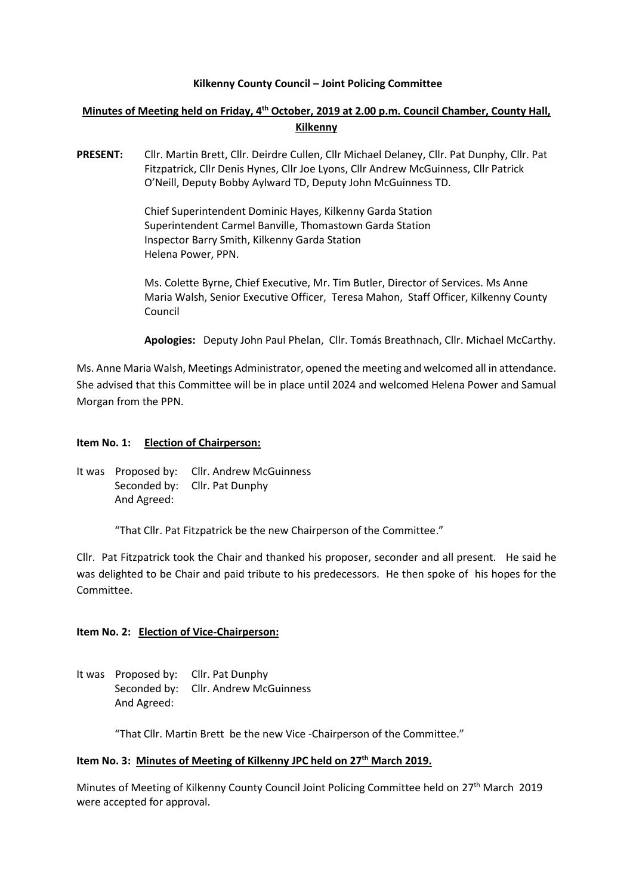### **Kilkenny County Council – Joint Policing Committee**

# **Minutes of Meeting held on Friday, 4 th October, 2019 at 2.00 p.m. Council Chamber, County Hall, Kilkenny**

**PRESENT:** Cllr. Martin Brett, Cllr. Deirdre Cullen, Cllr Michael Delaney, Cllr. Pat Dunphy, Cllr. Pat Fitzpatrick, Cllr Denis Hynes, Cllr Joe Lyons, Cllr Andrew McGuinness, Cllr Patrick O'Neill, Deputy Bobby Aylward TD, Deputy John McGuinness TD.

> Chief Superintendent Dominic Hayes, Kilkenny Garda Station Superintendent Carmel Banville, Thomastown Garda Station Inspector Barry Smith, Kilkenny Garda Station Helena Power, PPN.

Ms. Colette Byrne, Chief Executive, Mr. Tim Butler, Director of Services. Ms Anne Maria Walsh, Senior Executive Officer, Teresa Mahon, Staff Officer, Kilkenny County Council

**Apologies:** Deputy John Paul Phelan, Cllr. Tomás Breathnach, Cllr. Michael McCarthy.

Ms. Anne Maria Walsh, Meetings Administrator, opened the meeting and welcomed all in attendance. She advised that this Committee will be in place until 2024 and welcomed Helena Power and Samual Morgan from the PPN.

#### **Item No. 1: Election of Chairperson:**

It was Proposed by: Cllr. Andrew McGuinness Seconded by: Cllr. Pat Dunphy And Agreed:

"That Cllr. Pat Fitzpatrick be the new Chairperson of the Committee."

Cllr. Pat Fitzpatrick took the Chair and thanked his proposer, seconder and all present. He said he was delighted to be Chair and paid tribute to his predecessors. He then spoke of his hopes for the Committee.

### **Item No. 2: Election of Vice-Chairperson:**

It was Proposed by: Cllr. Pat Dunphy Seconded by: Cllr. Andrew McGuinness And Agreed:

"That Cllr. Martin Brett be the new Vice -Chairperson of the Committee."

### **Item No. 3: Minutes of Meeting of Kilkenny JPC held on 27th March 2019.**

Minutes of Meeting of Kilkenny County Council Joint Policing Committee held on 27th March 2019 were accepted for approval.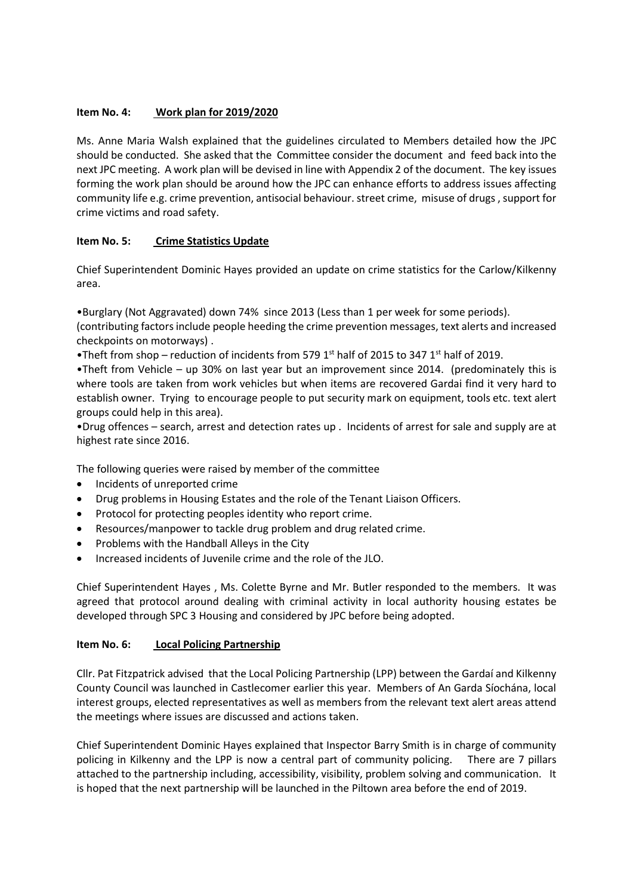## **Item No. 4: Work plan for 2019/2020**

Ms. Anne Maria Walsh explained that the guidelines circulated to Members detailed how the JPC should be conducted. She asked that the Committee consider the document and feed back into the next JPC meeting. A work plan will be devised in line with Appendix 2 of the document. The key issues forming the work plan should be around how the JPC can enhance efforts to address issues affecting community life e.g. crime prevention, antisocial behaviour. street crime, misuse of drugs , support for crime victims and road safety.

# **Item No. 5: Crime Statistics Update**

Chief Superintendent Dominic Hayes provided an update on crime statistics for the Carlow/Kilkenny area.

•Burglary (Not Aggravated) down 74% since 2013 (Less than 1 per week for some periods). (contributing factors include people heeding the crime prevention messages, text alerts and increased checkpoints on motorways) .

•Theft from shop – reduction of incidents from 579 1<sup>st</sup> half of 2015 to 347 1<sup>st</sup> half of 2019.

•Theft from Vehicle – up 30% on last year but an improvement since 2014. (predominately this is where tools are taken from work vehicles but when items are recovered Gardai find it very hard to establish owner. Trying to encourage people to put security mark on equipment, tools etc. text alert groups could help in this area).

•Drug offences – search, arrest and detection rates up . Incidents of arrest for sale and supply are at highest rate since 2016.

The following queries were raised by member of the committee

- Incidents of unreported crime
- Drug problems in Housing Estates and the role of the Tenant Liaison Officers.
- Protocol for protecting peoples identity who report crime.
- Resources/manpower to tackle drug problem and drug related crime.
- Problems with the Handball Alleys in the City
- Increased incidents of Juvenile crime and the role of the JLO.

Chief Superintendent Hayes , Ms. Colette Byrne and Mr. Butler responded to the members. It was agreed that protocol around dealing with criminal activity in local authority housing estates be developed through SPC 3 Housing and considered by JPC before being adopted.

## **Item No. 6: Local Policing Partnership**

Cllr. Pat Fitzpatrick advised that the Local Policing Partnership (LPP) between the Gardaí and Kilkenny County Council was launched in Castlecomer earlier this year. Members of An Garda Síochána, local interest groups, elected representatives as well as members from the relevant text alert areas attend the meetings where issues are discussed and actions taken.

Chief Superintendent Dominic Hayes explained that Inspector Barry Smith is in charge of community policing in Kilkenny and the LPP is now a central part of community policing. There are 7 pillars attached to the partnership including, accessibility, visibility, problem solving and communication. It is hoped that the next partnership will be launched in the Piltown area before the end of 2019.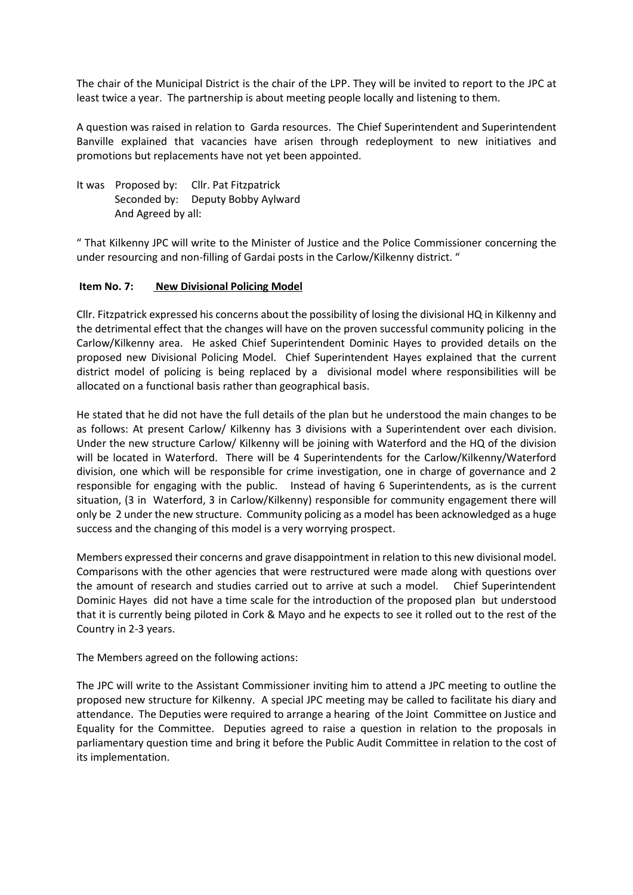The chair of the Municipal District is the chair of the LPP. They will be invited to report to the JPC at least twice a year. The partnership is about meeting people locally and listening to them.

A question was raised in relation to Garda resources. The Chief Superintendent and Superintendent Banville explained that vacancies have arisen through redeployment to new initiatives and promotions but replacements have not yet been appointed.

It was Proposed by: Cllr. Pat Fitzpatrick Seconded by: Deputy Bobby Aylward And Agreed by all:

" That Kilkenny JPC will write to the Minister of Justice and the Police Commissioner concerning the under resourcing and non-filling of Gardai posts in the Carlow/Kilkenny district. "

### **Item No. 7: New Divisional Policing Model**

Cllr. Fitzpatrick expressed his concerns about the possibility of losing the divisional HQ in Kilkenny and the detrimental effect that the changes will have on the proven successful community policing in the Carlow/Kilkenny area. He asked Chief Superintendent Dominic Hayes to provided details on the proposed new Divisional Policing Model. Chief Superintendent Hayes explained that the current district model of policing is being replaced by a divisional model where responsibilities will be allocated on a functional basis rather than geographical basis.

He stated that he did not have the full details of the plan but he understood the main changes to be as follows: At present Carlow/ Kilkenny has 3 divisions with a Superintendent over each division. Under the new structure Carlow/ Kilkenny will be joining with Waterford and the HQ of the division will be located in Waterford. There will be 4 Superintendents for the Carlow/Kilkenny/Waterford division, one which will be responsible for crime investigation, one in charge of governance and 2 responsible for engaging with the public. Instead of having 6 Superintendents, as is the current situation, (3 in Waterford, 3 in Carlow/Kilkenny) responsible for community engagement there will only be 2 under the new structure. Community policing as a model has been acknowledged as a huge success and the changing of this model is a very worrying prospect.

Members expressed their concerns and grave disappointment in relation to this new divisional model. Comparisons with the other agencies that were restructured were made along with questions over the amount of research and studies carried out to arrive at such a model. Chief Superintendent Dominic Hayes did not have a time scale for the introduction of the proposed plan but understood that it is currently being piloted in Cork & Mayo and he expects to see it rolled out to the rest of the Country in 2-3 years.

The Members agreed on the following actions:

The JPC will write to the Assistant Commissioner inviting him to attend a JPC meeting to outline the proposed new structure for Kilkenny. A special JPC meeting may be called to facilitate his diary and attendance. The Deputies were required to arrange a hearing of the Joint Committee on Justice and Equality for the Committee. Deputies agreed to raise a question in relation to the proposals in parliamentary question time and bring it before the Public Audit Committee in relation to the cost of its implementation.